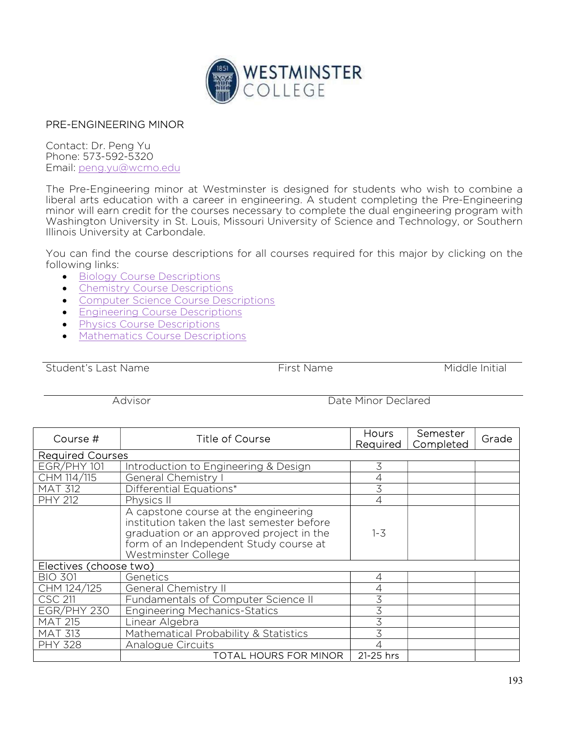

## PRE-ENGINEERING MINOR

Contact: Dr. Peng Yu Phone: 573-592-5320 Email: peng.yu@wcmo.edu

The Pre-Engineering minor at Westminster is designed for students who wish to combine a liberal arts education with a career in engineering. A student completing the Pre-Engineering minor will earn credit for the courses necessary to complete the dual engineering program with Washington University in St. Louis, Missouri University of Science and Technology, or Southern Illinois University at Carbondale.

You can find the course descriptions for all courses required for this major by clicking on the following links:

- **Biology Course Descriptions**
- Chemistry Course Descriptions
- **Computer Science Course Descriptions**
- **Engineering Course Descriptions**
- **•** Physics Course Descriptions
- Mathematics Course Descriptions

Student's Last Name The Communication of the First Name Theorem Middle Initial

Advisor Date Minor Declared

| Course #                | <b>Title of Course</b>                                                                                                                                                                          | Hours<br>Required | Semester<br>Completed | Grade |
|-------------------------|-------------------------------------------------------------------------------------------------------------------------------------------------------------------------------------------------|-------------------|-----------------------|-------|
| <b>Required Courses</b> |                                                                                                                                                                                                 |                   |                       |       |
| EGR/PHY 101             | Introduction to Engineering & Design                                                                                                                                                            | 3                 |                       |       |
| CHM 114/115             | General Chemistry                                                                                                                                                                               |                   |                       |       |
| <b>MAT 312</b>          | Differential Equations*                                                                                                                                                                         | 3                 |                       |       |
| <b>PHY 212</b>          | Physics II                                                                                                                                                                                      |                   |                       |       |
|                         | A capstone course at the engineering<br>institution taken the last semester before<br>graduation or an approved project in the<br>form of an Independent Study course at<br>Westminster College | $1 - 3$           |                       |       |
| Electives (choose two)  |                                                                                                                                                                                                 |                   |                       |       |
| <b>BIO 301</b>          | Genetics                                                                                                                                                                                        |                   |                       |       |
| CHM 124/125             | General Chemistry II                                                                                                                                                                            |                   |                       |       |
| CSC 211                 | Fundamentals of Computer Science II                                                                                                                                                             |                   |                       |       |
| EGR/PHY 230             | <b>Engineering Mechanics-Statics</b>                                                                                                                                                            | 3                 |                       |       |
| <b>MAT 215</b>          | Linear Algebra                                                                                                                                                                                  |                   |                       |       |
| <b>MAT 313</b>          | Mathematical Probability & Statistics                                                                                                                                                           | 3                 |                       |       |
| <b>PHY 328</b>          | Analogue Circuits                                                                                                                                                                               |                   |                       |       |
|                         | TOTAL HOURS FOR MINOR                                                                                                                                                                           | 21-25 hrs         |                       |       |